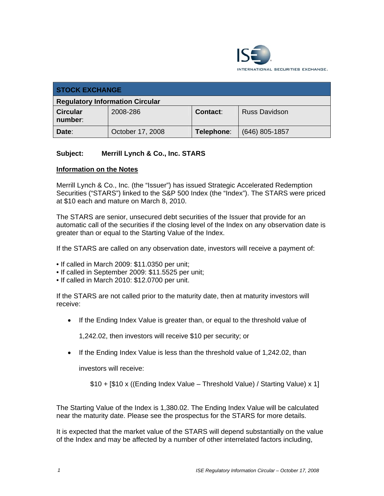

| <b>STOCK EXCHANGE</b>                  |                  |            |                      |  |
|----------------------------------------|------------------|------------|----------------------|--|
| <b>Regulatory Information Circular</b> |                  |            |                      |  |
| <b>Circular</b><br>number:             | 2008-286         | Contact:   | <b>Russ Davidson</b> |  |
| Date:                                  | October 17, 2008 | Telephone: | $(646)$ 805-1857     |  |

## **Subject: Merrill Lynch & Co., Inc. STARS**

## **Information on the Notes**

Merrill Lynch & Co., Inc. (the "Issuer") has issued Strategic Accelerated Redemption Securities ("STARS") linked to the S&P 500 Index (the "Index"). The STARS were priced at \$10 each and mature on March 8, 2010.

The STARS are senior, unsecured debt securities of the Issuer that provide for an automatic call of the securities if the closing level of the Index on any observation date is greater than or equal to the Starting Value of the Index.

If the STARS are called on any observation date, investors will receive a payment of:

• If called in March 2009: \$11.0350 per unit;

• If called in September 2009: \$11.5525 per unit;

• If called in March 2010: \$12.0700 per unit.

If the STARS are not called prior to the maturity date, then at maturity investors will receive:

• If the Ending Index Value is greater than, or equal to the threshold value of

1,242.02, then investors will receive \$10 per security; or

• If the Ending Index Value is less than the threshold value of 1,242.02, than

investors will receive:

\$10 + [\$10 x ((Ending Index Value – Threshold Value) / Starting Value) x 1]

The Starting Value of the Index is 1,380.02. The Ending Index Value will be calculated near the maturity date. Please see the prospectus for the STARS for more details.

It is expected that the market value of the STARS will depend substantially on the value of the Index and may be affected by a number of other interrelated factors including,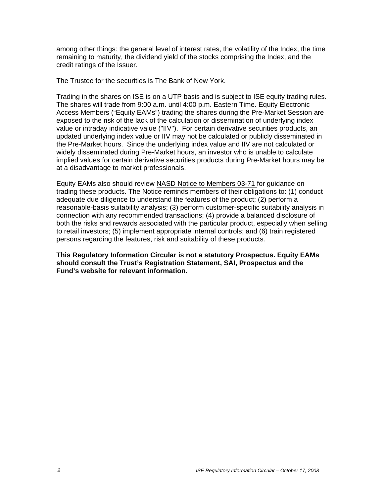among other things: the general level of interest rates, the volatility of the Index, the time remaining to maturity, the dividend yield of the stocks comprising the Index, and the credit ratings of the Issuer.

The Trustee for the securities is The Bank of New York.

Trading in the shares on ISE is on a UTP basis and is subject to ISE equity trading rules. The shares will trade from 9:00 a.m. until 4:00 p.m. Eastern Time. Equity Electronic Access Members ("Equity EAMs") trading the shares during the Pre-Market Session are exposed to the risk of the lack of the calculation or dissemination of underlying index value or intraday indicative value ("IIV"). For certain derivative securities products, an updated underlying index value or IIV may not be calculated or publicly disseminated in the Pre-Market hours. Since the underlying index value and IIV are not calculated or widely disseminated during Pre-Market hours, an investor who is unable to calculate implied values for certain derivative securities products during Pre-Market hours may be at a disadvantage to market professionals.

Equity EAMs also should review NASD Notice to Members 03-71 for guidance on trading these products. The Notice reminds members of their obligations to: (1) conduct adequate due diligence to understand the features of the product; (2) perform a reasonable-basis suitability analysis; (3) perform customer-specific suitability analysis in connection with any recommended transactions; (4) provide a balanced disclosure of both the risks and rewards associated with the particular product, especially when selling to retail investors; (5) implement appropriate internal controls; and (6) train registered persons regarding the features, risk and suitability of these products.

**This Regulatory Information Circular is not a statutory Prospectus. Equity EAMs should consult the Trust's Registration Statement, SAI, Prospectus and the Fund's website for relevant information.**